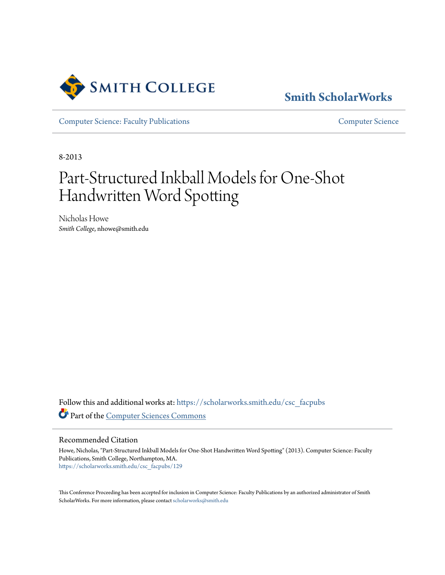

# **[Smith ScholarWorks](https://scholarworks.smith.edu/?utm_source=scholarworks.smith.edu%2Fcsc_facpubs%2F129&utm_medium=PDF&utm_campaign=PDFCoverPages)**

[Computer Science: Faculty Publications](https://scholarworks.smith.edu/csc_facpubs?utm_source=scholarworks.smith.edu%2Fcsc_facpubs%2F129&utm_medium=PDF&utm_campaign=PDFCoverPages) [Computer Science](https://scholarworks.smith.edu/csc?utm_source=scholarworks.smith.edu%2Fcsc_facpubs%2F129&utm_medium=PDF&utm_campaign=PDFCoverPages)

8-2013

# Part-Structured Inkball Models for One-Shot Handwritten Word Spotting

Nicholas Howe *Smith College*, nhowe@smith.edu

Follow this and additional works at: [https://scholarworks.smith.edu/csc\\_facpubs](https://scholarworks.smith.edu/csc_facpubs?utm_source=scholarworks.smith.edu%2Fcsc_facpubs%2F129&utm_medium=PDF&utm_campaign=PDFCoverPages) Part of the [Computer Sciences Commons](http://network.bepress.com/hgg/discipline/142?utm_source=scholarworks.smith.edu%2Fcsc_facpubs%2F129&utm_medium=PDF&utm_campaign=PDFCoverPages)

Recommended Citation

Howe, Nicholas, "Part-Structured Inkball Models for One-Shot Handwritten Word Spotting" (2013). Computer Science: Faculty Publications, Smith College, Northampton, MA. [https://scholarworks.smith.edu/csc\\_facpubs/129](https://scholarworks.smith.edu/csc_facpubs/129?utm_source=scholarworks.smith.edu%2Fcsc_facpubs%2F129&utm_medium=PDF&utm_campaign=PDFCoverPages)

This Conference Proceeding has been accepted for inclusion in Computer Science: Faculty Publications by an authorized administrator of Smith ScholarWorks. For more information, please contact [scholarworks@smith.edu](mailto:scholarworks@smith.edu)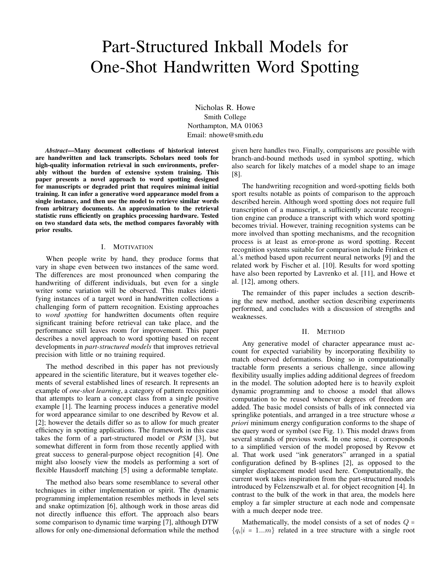# Part-Structured Inkball Models for One-Shot Handwritten Word Spotting

Nicholas R. Howe Smith College Northampton, MA 01063 Email: nhowe@smith.edu

*Abstract*—Many document collections of historical interest are handwritten and lack transcripts. Scholars need tools for high-quality information retrieval in such environments, preferably without the burden of extensive system training. This paper presents a novel approach to word spotting designed for manuscripts or degraded print that requires minimal initial training. It can infer a generative word appearance model from a single instance, and then use the model to retrieve similar words from arbitrary documents. An approximation to the retrieval statistic runs efficiently on graphics processing hardware. Tested on two standard data sets, the method compares favorably with prior results.

## I. MOTIVATION

When people write by hand, they produce forms that vary in shape even between two instances of the same word. The differences are most pronounced when comparing the handwriting of different individuals, but even for a single writer some variation will be observed. This makes identifying instances of a target word in handwritten collections a challenging form of pattern recognition. Existing approaches to *word spotting* for handwritten documents often require significant training before retrieval can take place, and the performance still leaves room for improvement. This paper describes a novel approach to word spotting based on recent developments in *part-structured models* that improves retrieval precision with little or no training required.

The method described in this paper has not previously appeared in the scientific literature, but it weaves together elements of several established lines of research. It represents an example of *one-shot learning*, a category of pattern recognition that attempts to learn a concept class from a single positive example [1]. The learning process induces a generative model for word appearance similar to one described by Revow et al. [2]; however the details differ so as to allow for much greater efficiency in spotting applications. The framework in this case takes the form of a part-structured model or *PSM* [3], but somewhat different in form from those recently applied with great success to general-purpose object recognition [4]. One might also loosely view the models as performing a sort of flexible Hausdorff matching [5] using a deformable template.

The method also bears some resemblance to several other techniques in either implementation or spirit. The dynamic programming implementation resembles methods in level sets and snake optimization [6], although work in those areas did not directly influence this effort. The approach also bears some comparison to dynamic time warping [7], although DTW allows for only one-dimensional deformation while the method given here handles two. Finally, comparisons are possible with branch-and-bound methods used in symbol spotting, which also search for likely matches of a model shape to an image [8].

The handwriting recognition and word-spotting fields both sport results notable as points of comparison to the approach described herein. Although word spotting does not require full transcription of a manuscript, a sufficiently accurate recognition engine can produce a transcript with which word spotting becomes trivial. However, training recognition systems can be more involved than spotting mechanisms, and the recognition process is at least as error-prone as word spotting. Recent recognition systems suitable for comparison include Frinken et al.'s method based upon recurrent neural networks [9] and the related work by Fischer et al. [10]. Results for word spotting have also been reported by Lavrenko et al. [11], and Howe et al. [12], among others.

The remainder of this paper includes a section describing the new method, another section describing experiments performed, and concludes with a discussion of strengths and weaknesses.

#### II. METHOD

Any generative model of character appearance must account for expected variability by incorporating flexibility to match observed deformations. Doing so in computationally tractable form presents a serious challenge, since allowing flexibility usually implies adding additional degrees of freedom in the model. The solution adopted here is to heavily exploit dynamic programming and to choose a model that allows computation to be reused whenever degrees of freedom are added. The basic model consists of balls of ink connected via springlike potentials, and arranged in a tree structure whose *a priori* minimum energy configuration conforms to the shape of the query word or symbol (see Fig. 1). This model draws from several strands of previous work. In one sense, it corresponds to a simplified version of the model proposed by Revow et al. That work used "ink generators" arranged in a spatial configuration defined by B-splines [2], as opposed to the simpler displacement model used here. Computationally, the current work takes inspiration from the part-structured models introduced by Felzenszwalb et al. for object recognition [4]. In contrast to the bulk of the work in that area, the models here employ a far simpler structure at each node and compensate with a much deeper node tree.

Mathematically, the model consists of a set of nodes  $Q =$  ${q_i | i = 1...m}$  related in a tree structure with a single root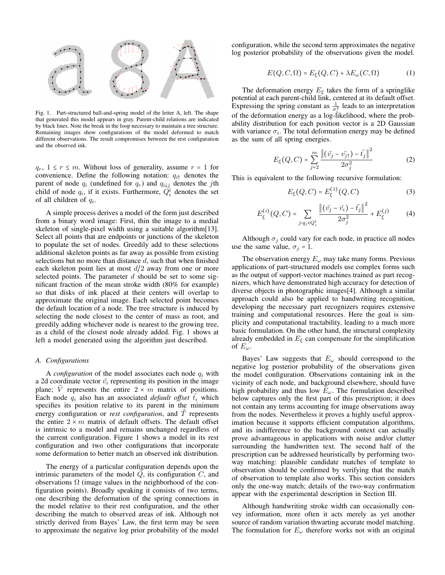

Fig. 1. Part-structured ball-and-spring model of the letter A, left. The shape that generated this model appears in gray. Parent-child relations are indicated by black lines. Note the break in the loop necessary to maintain a tree structure. Remaining images show configurations of the model deformed to match different observations. The result compromises between the rest configuration and the observed ink.

 $q_r$ ,  $1 \leq r \leq m$ . Without loss of generality, assume  $r = 1$  for convenience. Define the following notation:  $q_{i\uparrow}$  denotes the parent of node  $q_i$  (undefined for  $q_r$ ) and  $q_{i \downarrow j}$  denotes the jth child of node  $q_i$ , if it exists. Furthermore,  $Q_i^{\downarrow}$  denotes the set of all children of  $q_i$ .

A simple process derives a model of the form just described from a binary word image: First, thin the image to a medial skeleton of single-pixel width using a suitable algorithm[13]. Select all points that are endpoints or junctions of the skeleton to populate the set of nodes. Greedily add to these selections additional skeleton points as far away as possible from existing selections but no more than distance  $d$ , such that when finished each skeleton point lies at most  $d/2$  away from one or more selected points. The parameter  $d$  should be set to some significant fraction of the mean stroke width (80% for example) so that disks of ink placed at their centers will overlap to approximate the original image. Each selected point becomes the default location of a node. The tree structure is induced by selecting the node closest to the center of mass as root, and greedily adding whichever node is nearest to the growing tree, as a child of the closest node already added. Fig. 1 shows at left a model generated using the algorithm just described.

#### *A. Configurations*

A *configuration* of the model associates each node  $q_i$  with a 2d coordinate vector  $\vec{v}_i$  representing its position in the image plane; V represents the entire  $2 \times m$  matrix of positions. Each node  $q_i$  also has an associated *default offset*  $\vec{t}_i$  which specifies its position relative to its parent in the minimum energy configuration or *rest configuration*, and T represents the entire  $2 \times m$  matrix of default offsets. The default offset is intrinsic to a model and remains unchanged regardless of the current configuration. Figure 1 shows a model in its rest configuration and two other configurations that incorporate some deformation to better match an observed ink distribution.

The energy of a particular configuration depends upon the intrinsic parameters of the model  $Q$ , its configuration  $C$ , and observations  $\Omega$  (image values in the neighborhood of the configuration points). Broadly speaking it consists of two terms, one describing the deformation of the spring connections in the model relative to their rest configuration, and the other describing the match to observed areas of ink. Although not strictly derived from Bayes' Law, the first term may be seen to approximate the negative log prior probability of the model

configuration, while the second term approximates the negative log posterior probability of the observations given the model.

$$
E(Q, C, \Omega) = E_{\xi}(Q, C) + \lambda E_{\omega}(C, \Omega)
$$
 (1)

The deformation energy  $E_{\xi}$  takes the form of a springlike potential at each parent-child link, centered at its default offset. Expressing the spring constant as  $\frac{1}{\sigma_i^2}$  leads to an interpretation of the deformation energy as a log-likelihood, where the probability distribution for each position vector is a 2D Gaussian with variance  $\sigma_i$ . The total deformation energy may be defined as the sum of all spring energies.

$$
E_{\xi}(Q, C) = \sum_{j=2}^{m} \frac{\left\| (\vec{v_j} - \vec{v_{j\uparrow}}) - \vec{t_j} \right\|^2}{2\sigma_j^2}
$$
 (2)

This is equivalent to the following recursive formulation:

$$
E_{\xi}(Q, C) = E_{\xi}^{(1)}(Q, C)
$$
 (3)

$$
E_{\xi}^{(i)}(Q, C) = \sum_{j:q_j \in Q_i^{\downarrow}} \frac{\left\|(\vec{v}_j - \vec{v}_i) - \vec{t}_j\right\|^2}{2\sigma_j^2} + E_{\xi}^{(j)} \tag{4}
$$

Although  $\sigma_j$  could vary for each node, in practice all nodes use the same value,  $\sigma_j = 1$ .

The observation energy  $E_{\omega}$  may take many forms. Previous applications of part-structured models use complex forms such as the output of support-vector machines trained as part recognizers, which have demonstrated high accuracy for detection of diverse objects in photographic images[4]. Although a similar approach could also be applied to handwriting recognition, developing the necessary part recognizers requires extensive training and computational resources. Here the goal is simplicity and computational tractability, leading to a much more basic formulation. On the other hand, the structural complexity already embedded in  $E_{\xi}$  can compensate for the simplification of  $E_{\omega}$ .

Bayes' Law suggests that  $E_{\omega}$  should correspond to the negative log posterior probability of the observations given the model configuration. Observations containing ink in the vicinity of each node, and background elsewhere, should have high probability and thus low  $E_{\omega}$ . The formulation described below captures only the first part of this prescription; it does not contain any terms accounting for image observations away from the nodes. Nevertheless it proves a highly useful approximation because it supports efficient computation algorithms, and its indifference to the background context can actually prove advantageous in applications with noise and/or clutter surrounding the handwritten text. The second half of the prescription can be addressed heuristically by performing twoway matching: plausible candidate matches of template to observation should be confirmed by verifying that the match of observation to template also works. This section considers only the one-way match; details of the two-way confirmation appear with the experimental description in Section III.

Although handwriting stroke width can occasionally convey information, more often it acts merely as yet another source of random variation thwarting accurate model matching. The formulation for  $E_{\omega}$  therefore works not with an original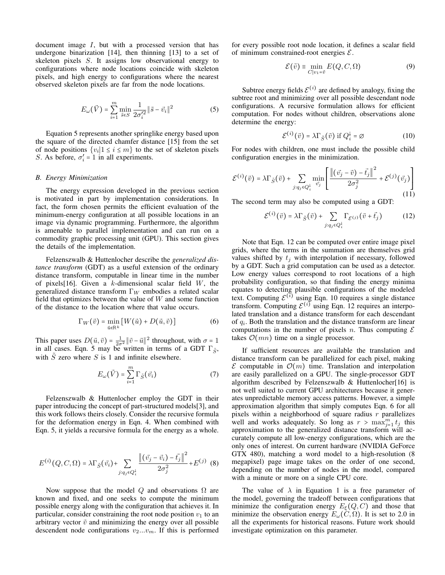document image I, but with a processed version that has undergone binarization [14], then thinning [13] to a set of skeleton pixels S. It assigns low observational energy to configurations where node locations coincide with skeleton pixels, and high energy to configurations where the nearest observed skeleton pixels are far from the node locations.

$$
E_{\omega}(\vec{V}) = \sum_{i=1}^{m} \min_{\vec{s} \in S} \frac{1}{2\sigma_i'^2} \|\vec{s} - \vec{v}_i\|^2
$$
 (5)

Equation 5 represents another springlike energy based upon the square of the directed chamfer distance [15] from the set of node positions  $\{v_i | 1 \le i \le m\}$  to the set of skeleton pixels  $S_{\alpha}$ . As before  $\sigma' = 1$  in all experiments S. As before,  $\sigma'_i = 1$  in all experiments.

#### *B. Energy Minimization*

The energy expression developed in the previous section is motivated in part by implementation considerations. In fact, the form chosen permits the efficient evaluation of the minimum-energy configuration at all possible locations in an image via dynamic programming. Furthermore, the algorithm is amenable to parallel implementation and can run on a commodity graphic processing unit (GPU). This section gives the details of the implementation.

Felzenszwalb & Huttenlocher describe the *generalized distance transform* (GDT) as a useful extension of the ordinary distance transform, computable in linear time in the number of pixels [16]. Given a k-dimensional scalar field  $W$ , the generalized distance transform  $\Gamma_W$  embodies a related scalar field that optimizes between the value of  $W$  and some function of the distance to the location where that value occurs.

$$
\Gamma_W(\vec{v}) = \min_{\vec{u} \in \mathbb{R}^k} \left[ W(\vec{u}) + D(\vec{u}, \vec{v}) \right] \tag{6}
$$

This paper uses  $D(\vec{u}, \vec{v}) = \frac{1}{2\sigma^2} ||\vec{v} - \vec{u}||^2$  throughout, with  $\sigma = 1$  in all cases. Eqn. 5 may be written in terms of a GDT  $\Gamma_{\tilde{S}}$ , with  $\tilde{S}$  zero where S is 1 and infinite elsewhere.

$$
E_{\omega}(\vec{V}) = \sum_{i=1}^{m} \Gamma_{\tilde{S}}(\vec{v}_i)
$$
 (7)

Felzenszwalb & Huttenlocher employ the GDT in their paper introducing the concept of part-structured models[3], and this work follows theirs closely. Consider the recursive formula for the deformation energy in Eqn. 4. When combined with Eqn. 5, it yields a recursive formula for the energy as a whole.

$$
E^{(i)}(Q, C, \Omega) = \lambda \Gamma_{\tilde{S}}(\vec{v_i}) + \sum_{j: q_j \in Q_i^{\downarrow}} \frac{\left\|(\vec{v_j} - \vec{v_i}) - \vec{t_j}\right\|^2}{2\sigma_j^2} + E^{(j)} \tag{8}
$$

Now suppose that the model Q and observations  $\Omega$  are known and fixed, and one seeks to compute the minimum possible energy along with the configuration that achieves it. In particular, consider constraining the root node position  $v_1$  to an arbitrary vector  $\vec{v}$  and minimizing the energy over all possible descendent node configurations  $v_2...v_m$ . If this is performed

for every possible root node location, it defines a scalar field of minimum constrained-root energies  $\mathcal{E}$ .

$$
\mathcal{E}(\vec{v}) \equiv \min_{C|v_1 = \vec{v}} E(Q, C, \Omega) \tag{9}
$$

Subtree energy fields  $\mathcal{E}^{(i)}$  are defined by analogy, fixing the subtree root and minimizing over all possible descendant node configurations. A recursive formulation allows for efficient computation. For nodes without children, observations alone determine the energy:

$$
\mathcal{E}^{(i)}(\vec{v}) = \lambda \Gamma_{\tilde{S}}(\vec{v}) \text{ if } Q_i^{\downarrow} = \varnothing \tag{10}
$$

For nodes with children, one must include the possible child configuration energies in the minimization.

$$
\mathcal{E}^{(i)}(\vec{v}) = \lambda \Gamma_{\tilde{S}}(\vec{v}) + \sum_{j:q_j \in Q_i^{\downarrow}} \min_{\vec{v}_j} \left[ \frac{\left\| (\vec{v}_j - \vec{v}) - \vec{t}_j \right\|^2}{2\sigma_j^2} + \mathcal{E}^{(j)}(\vec{v}_j) \right]
$$
\n(11)

The second term may also be computed using a GDT:

$$
\mathcal{E}^{(i)}(\vec{v}) = \lambda \Gamma_{\tilde{S}}(\vec{v}) + \sum_{j:q_j \in Q_i^{\downarrow}} \Gamma_{\mathcal{E}^{(j)}}(\vec{v} + \vec{t}_j)
$$
(12)

Note that Eqn. 12 can be computed over entire image pixel grids, where the terms in the summation are themselves grid values shifted by  $t_i$  with interpolation if necessary, followed by a GDT. Such a grid computation can be used as a detector. Low energy values correspond to root locations of a high probability configuration, so that finding the energy minima equates to detecting plausible configurations of the modeled text. Computing  $\mathcal{E}^{(i)}$  using Eqn. 10 requires a single distance transform. Computing  $\mathcal{E}^{(i)}$  using Eqn. 12 requires an interpolated translation and a distance transform for each descendant of  $q_i$ . Both the translation and the distance transform are linear computations in the number of pixels n. Thus computing  $\mathcal E$ takes  $\mathcal{O}(mn)$  time on a single processor.

If sufficient resources are available the translation and distance transform can be parallelized for each pixel, making  $\mathcal E$  computable in  $\mathcal O(m)$  time. Translation and interpolation are easily parallelized on a GPU. The single-processor GDT algorithm described by Felzenszwalb & Huttenlocher[16] is not well suited to current GPU architectures because it generates unpredictable memory access patterns. However, a simple approximation algorithm that simply computes Eqn. 6 for all pixels within a neighborhood of square radius  $r$  parallelizes well and works adequately. So long as  $r > \max_{j=1}^{m} t_j$  this approximation to the generalized distance transform will accurately compute all low-energy configurations, which are the only ones of interest. On current hardware (NVIDIA GeForce GTX 480), matching a word model to a high-resolution (8 megapixel) page image takes on the order of one second, depending on the number of nodes in the model, compared with a minute or more on a single CPU core.

The value of  $\lambda$  in Equation 1 is a free parameter of the model, governing the tradeoff between configurations that minimize the configuration energy  $E_{\xi}(Q, C)$  and those that minimize the observation energy  $E_{\omega}(\tilde{C}, \Omega)$ . It is set to 2.0 in all the experiments for historical reasons. Future work should investigate optimization on this parameter.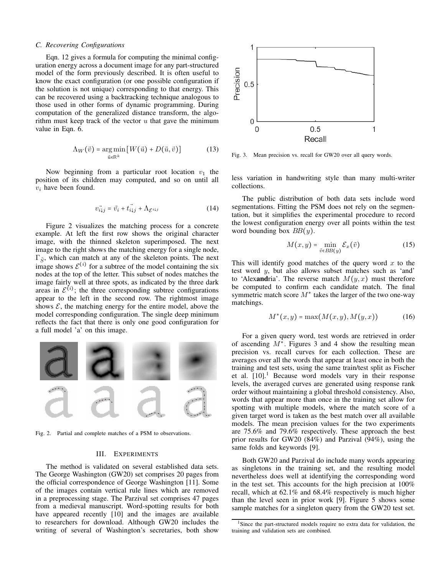#### *C. Recovering Configurations*

Eqn. 12 gives a formula for computing the minimal configuration energy across a document image for any part-structured model of the form previously described. It is often useful to know the exact configuration (or one possible configuration if the solution is not unique) corresponding to that energy. This can be recovered using a backtracking technique analogous to those used in other forms of dynamic programming. During computation of the generalized distance transform, the algorithm must keep track of the vector  $u$  that gave the minimum value in Eqn. 6.

$$
\Lambda_W(\vec{v}) = \underset{\vec{u} \in \mathbb{R}^k}{\arg \min} \left[ W(\vec{u}) + D(\vec{u}, \vec{v}) \right] \tag{13}
$$

Now beginning from a particular root location  $v_1$  the position of its children may computed, and so on until all  $v_i$  have been found.

$$
\vec{v_{i,j}} = \vec{v_i} + \vec{t_{i,j}} + \Lambda_{\mathcal{E}^{i,j}}
$$
 (14)

Figure 2 visualizes the matching process for a concrete example. At left the first row shows the original character image, with the thinned skeleton superimposed. The next image to the right shows the matching energy for a single node,  $\Gamma_{\tilde{S}}$ , which can match at any of the skeleton points. The next image shows  $\mathcal{E}^{(i)}$  for a subtree of the model containing the six nodes at the top of the letter. This subset of nodes matches the image fairly well at three spots, as indicated by the three dark areas in  $\mathcal{E}^{(i)}$ ; the three corresponding subtree configurations appear to the left in the second row. The rightmost image shows  $\mathcal{E}$ , the matching energy for the entire model, above the model corresponding configuration. The single deep minimum reflects the fact that there is only one good configuration for a full model 'a' on this image.



Fig. 2. Partial and complete matches of a PSM to observations.

# III. EXPERIMENTS

The method is validated on several established data sets. The George Washington (GW20) set comprises 20 pages from the official correspondence of George Washington [11]. Some of the images contain vertical rule lines which are removed in a preprocessing stage. The Parzival set comprises 47 pages from a medieval manuscript. Word-spotting results for both have appeared recently [10] and the images are available to researchers for download. Although GW20 includes the writing of several of Washington's secretaries, both show



Fig. 3. Mean precision vs. recall for GW20 over all query words.

less variation in handwriting style than many multi-writer collections.

The public distribution of both data sets include word segmentations. Fitting the PSM does not rely on the segmentation, but it simplifies the experimental procedure to record the lowest configuration energy over all points within the test word bounding box  $BB(y)$ .

$$
M(x,y) = \min_{\vec{v} \in BB(y)} \mathcal{E}_x(\vec{v}) \tag{15}
$$

This will identify good matches of the query word  $x$  to the test word y, but also allows subset matches such as 'and' to 'Alexandria'. The reverse match  $M(y, x)$  must therefore be computed to confirm each candidate match. The final symmetric match score  $M^*$  takes the larger of the two one-way matchings.

$$
M^*(x, y) = \max(M(x, y), M(y, x))
$$
 (16)

For a given query word, test words are retrieved in order of ascending  $M^*$ . Figures 3 and 4 show the resulting mean precision vs. recall curves for each collection. These are averages over all the words that appear at least once in both the training and test sets, using the same train/test split as Fischer et al.  $[10]$ .<sup>1</sup> Because word models vary in their response levels, the averaged curves are generated using response rank order without maintaining a global threshold consistency. Also, words that appear more than once in the training set allow for spotting with multiple models, where the match score of a given target word is taken as the best match over all available models. The mean precision values for the two experiments are 75.6% and 79.6% respectively. These approach the best prior results for GW20 (84%) and Parzival (94%), using the same folds and keywords [9].

Both GW20 and Parzival do include many words appearing as singletons in the training set, and the resulting model nevertheless does well at identifying the corresponding word in the test set. This accounts for the high precision at 100% recall, which at 62.1% and 68.4% respectively is much higher than the level seen in prior work [9]. Figure 5 shows some sample matches for a singleton query from the GW20 test set.

<sup>&</sup>lt;sup>1</sup>Since the part-structured models require no extra data for validation, the training and validation sets are combined.